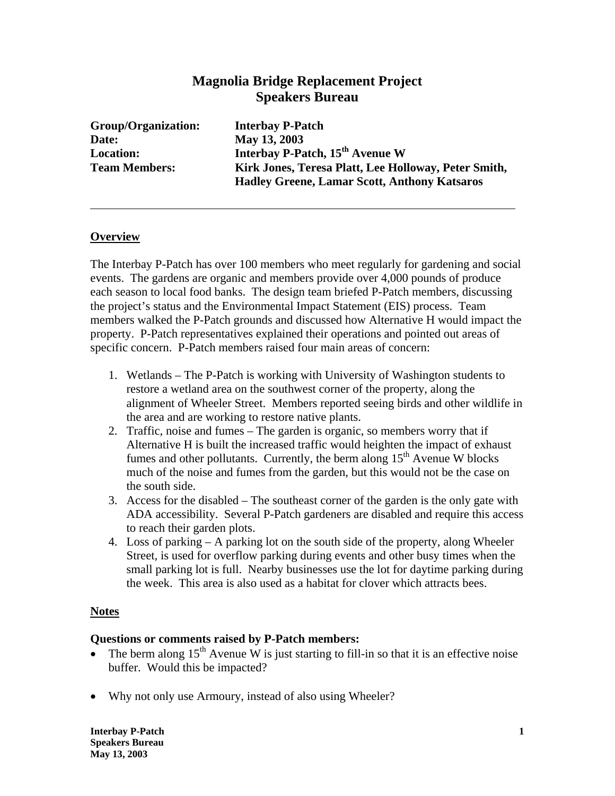# **Magnolia Bridge Replacement Project Speakers Bureau**

**Group/Organization: Interbay P-Patch Date: May 13, 2003** 

**Location: Interbay P-Patch, 15th Avenue W Team Members: Kirk Jones, Teresa Platt, Lee Holloway, Peter Smith, Hadley Greene, Lamar Scott, Anthony Katsaros** 

### **Overview**

The Interbay P-Patch has over 100 members who meet regularly for gardening and social events. The gardens are organic and members provide over 4,000 pounds of produce each season to local food banks. The design team briefed P-Patch members, discussing the project's status and the Environmental Impact Statement (EIS) process. Team members walked the P-Patch grounds and discussed how Alternative H would impact the property. P-Patch representatives explained their operations and pointed out areas of specific concern. P-Patch members raised four main areas of concern:

- 1. Wetlands The P-Patch is working with University of Washington students to restore a wetland area on the southwest corner of the property, along the alignment of Wheeler Street. Members reported seeing birds and other wildlife in the area and are working to restore native plants.
- 2. Traffic, noise and fumes The garden is organic, so members worry that if Alternative H is built the increased traffic would heighten the impact of exhaust fumes and other pollutants. Currently, the berm along  $15<sup>th</sup>$  Avenue W blocks much of the noise and fumes from the garden, but this would not be the case on the south side.
- 3. Access for the disabled The southeast corner of the garden is the only gate with ADA accessibility. Several P-Patch gardeners are disabled and require this access to reach their garden plots.
- 4. Loss of parking A parking lot on the south side of the property, along Wheeler Street, is used for overflow parking during events and other busy times when the small parking lot is full. Nearby businesses use the lot for daytime parking during the week. This area is also used as a habitat for clover which attracts bees.

#### **Notes**

## **Questions or comments raised by P-Patch members:**

- The berm along  $15<sup>th</sup>$  Avenue W is just starting to fill-in so that it is an effective noise buffer. Would this be impacted?
- Why not only use Armoury, instead of also using Wheeler?